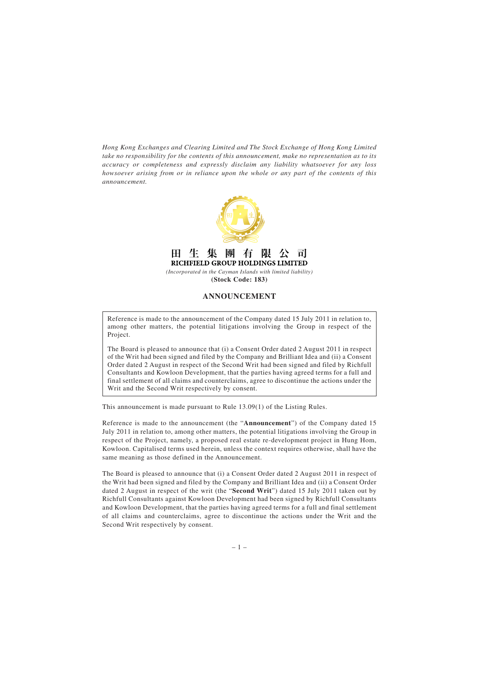*Hong Kong Exchanges and Clearing Limited and The Stock Exchange of Hong Kong Limited take no responsibility for the contents of this announcement, make no representation as to its accuracy or completeness and expressly disclaim any liability whatsoever for any loss howsoever arising from or in reliance upon the whole or any part of the contents of this announcement.*



RICHFIELD GROUP HOLDINGS LIMITED *(Incorporated in the Cayman Islands with limited liability)*

пl

**(Stock Code: 183)**

## **ANNOUNCEMENT**

Reference is made to the announcement of the Company dated 15 July 2011 in relation to, among other matters, the potential litigations involving the Group in respect of the Project.

The Board is pleased to announce that (i) a Consent Order dated 2 August 2011 in respect of the Writ had been signed and filed by the Company and Brilliant Idea and (ii) a Consent Order dated 2 August in respect of the Second Writ had been signed and filed by Richfull Consultants and Kowloon Development, that the parties having agreed terms for a full and final settlement of all claims and counterclaims, agree to discontinue the actions under the Writ and the Second Writ respectively by consent.

This announcement is made pursuant to Rule 13.09(1) of the Listing Rules.

Reference is made to the announcement (the "**Announcement**") of the Company dated 15 July 2011 in relation to, among other matters, the potential litigations involving the Group in respect of the Project, namely, a proposed real estate re-development project in Hung Hom, Kowloon. Capitalised terms used herein, unless the context requires otherwise, shall have the same meaning as those defined in the Announcement.

The Board is pleased to announce that (i) a Consent Order dated 2 August 2011 in respect of the Writ had been signed and filed by the Company and Brilliant Idea and (ii) a Consent Order dated 2 August in respect of the writ (the "**Second Writ**") dated 15 July 2011 taken out by Richfull Consultants against Kowloon Development had been signed by Richfull Consultants and Kowloon Development, that the parties having agreed terms for a full and final settlement of all claims and counterclaims, agree to discontinue the actions under the Writ and the Second Writ respectively by consent.